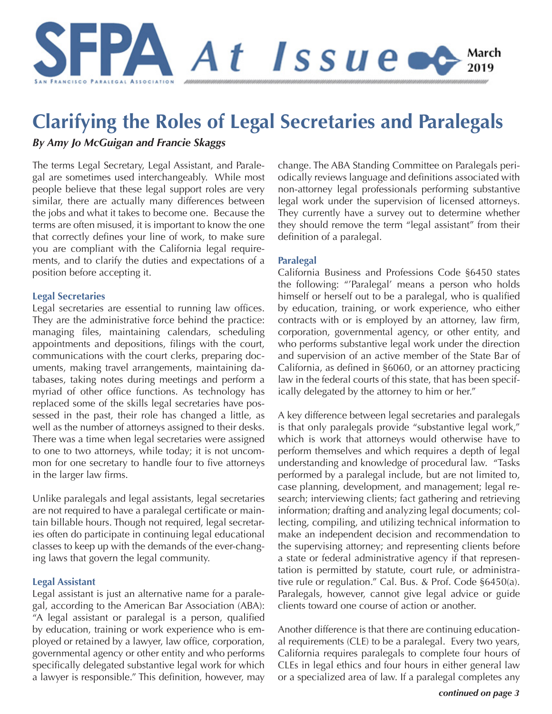

# **Clarifying the Roles of Legal Secretaries and Paralegals**

*By Amy Jo McGuigan and Francie Skaggs*

The terms Legal Secretary, Legal Assistant, and Paralegal are sometimes used interchangeably. While most people believe that these legal support roles are very similar, there are actually many differences between the jobs and what it takes to become one. Because the terms are often misused, it is important to know the one that correctly defines your line of work, to make sure you are compliant with the California legal requirements, and to clarify the duties and expectations of a position before accepting it.

#### **Legal Secretaries**

Legal secretaries are essential to running law offices. They are the administrative force behind the practice: managing files, maintaining calendars, scheduling appointments and depositions, filings with the court, communications with the court clerks, preparing documents, making travel arrangements, maintaining databases, taking notes during meetings and perform a myriad of other office functions. As technology has replaced some of the skills legal secretaries have possessed in the past, their role has changed a little, as well as the number of attorneys assigned to their desks. There was a time when legal secretaries were assigned to one to two attorneys, while today; it is not uncommon for one secretary to handle four to five attorneys in the larger law firms.

Unlike paralegals and legal assistants, legal secretaries are not required to have a paralegal certificate or maintain billable hours. Though not required, legal secretaries often do participate in continuing legal educational classes to keep up with the demands of the ever-changing laws that govern the legal community.

#### **Legal Assistant**

Legal assistant is just an alternative name for a paralegal, according to the American Bar Association (ABA): "A legal assistant or paralegal is a person, qualified by education, training or work experience who is employed or retained by a lawyer, law office, corporation, governmental agency or other entity and who performs specifically delegated substantive legal work for which a lawyer is responsible." This definition, however, may

change. The ABA Standing Committee on Paralegals periodically reviews language and definitions associated with non-attorney legal professionals performing substantive legal work under the supervision of licensed attorneys. They currently have a survey out to determine whether they should remove the term "legal assistant" from their definition of a paralegal.

#### **Paralegal**

California Business and Professions Code §6450 states the following: "'Paralegal' means a person who holds himself or herself out to be a paralegal, who is qualified by education, training, or work experience, who either contracts with or is employed by an attorney, law firm, corporation, governmental agency, or other entity, and who performs substantive legal work under the direction and supervision of an active member of the State Bar of California, as defined in §6060, or an attorney practicing law in the federal courts of this state, that has been specifically delegated by the attorney to him or her."

A key difference between legal secretaries and paralegals is that only paralegals provide "substantive legal work," which is work that attorneys would otherwise have to perform themselves and which requires a depth of legal understanding and knowledge of procedural law. "Tasks performed by a paralegal include, but are not limited to, case planning, development, and management; legal research; interviewing clients; fact gathering and retrieving information; drafting and analyzing legal documents; collecting, compiling, and utilizing technical information to make an independent decision and recommendation to the supervising attorney; and representing clients before a state or federal administrative agency if that representation is permitted by statute, court rule, or administrative rule or regulation." Cal. Bus. & Prof. Code §6450(a). Paralegals, however, cannot give legal advice or guide clients toward one course of action or another.

Another difference is that there are continuing educational requirements (CLE) to be a paralegal. Every two years, California requires paralegals to complete four hours of CLEs in legal ethics and four hours in either general law or a specialized area of law. If a paralegal completes any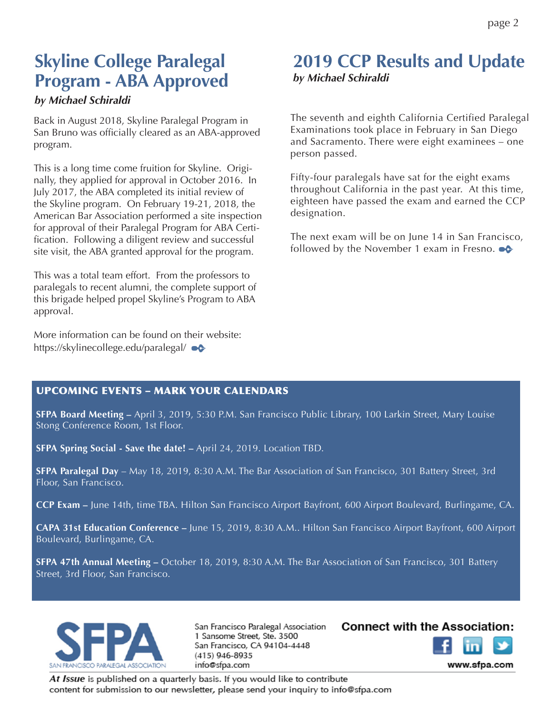# **Skyline College Paralegal Program - ABA Approved**

#### *by Michael Schiraldi*

Back in August 2018, Skyline Paralegal Program in San Bruno was officially cleared as an ABA-approved program.

This is a long time come fruition for Skyline. Originally, they applied for approval in October 2016. In July 2017, the ABA completed its initial review of the Skyline program. On February 19-21, 2018, the American Bar Association performed a site inspection for approval of their Paralegal Program for ABA Certification. Following a diligent review and successful site visit, the ABA granted approval for the program.

This was a total team effort. From the professors to paralegals to recent alumni, the complete support of this brigade helped propel Skyline's Program to ABA approval.

More information can be found on their website: https://skylinecollege.edu/paralegal/

### **2019 CCP Results and Update**  *by Michael Schiraldi*

The seventh and eighth California Certified Paralegal Examinations took place in February in San Diego and Sacramento. There were eight examinees – one person passed.

Fifty-four paralegals have sat for the eight exams throughout California in the past year. At this time, eighteen have passed the exam and earned the CCP designation.

The next exam will be on June 14 in San Francisco, followed by the November 1 exam in Fresno.  $\bullet \bullet$ 

#### UPCOMING EVENTS – MARK YOUR CALENDARS

**SFPA Board Meeting –** April 3, 2019, 5:30 P.M. San Francisco Public Library, 100 Larkin Street, Mary Louise Stong Conference Room, 1st Floor.

**SFPA Spring Social - Save the date! –** April 24, 2019. Location TBD.

**SFPA Paralegal Day** – May 18, 2019, 8:30 A.M. The Bar Association of San Francisco, 301 Battery Street, 3rd Floor, San Francisco.

**CCP Exam –** June 14th, time TBA. Hilton San Francisco Airport Bayfront, 600 Airport Boulevard, Burlingame, CA.

**CAPA 31st Education Conference –** June 15, 2019, 8:30 A.M.. Hilton San Francisco Airport Bayfront, 600 Airport Boulevard, Burlingame, CA.

**SFPA 47th Annual Meeting –** October 18, 2019, 8:30 A.M. The Bar Association of San Francisco, 301 Battery Street, 3rd Floor, San Francisco.



San Francisco Paralegal Association 1 Sansome Street, Ste. 3500 San Francisco, CA 94104-4448 (415) 946-8935 info@sfpa.com

#### **Connect with the Association:**



www.sfpa.com

At Issue is published on a quarterly basis. If you would like to contribute content for submission to our newsletter, please send your inquiry to info@sfpa.com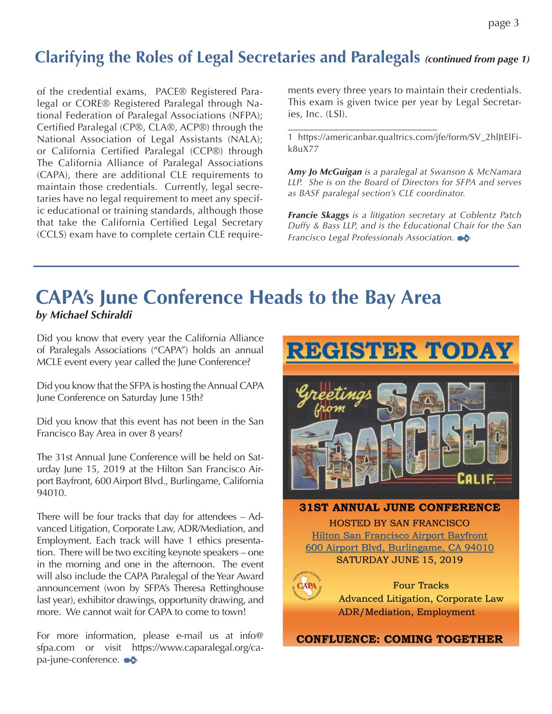## **Clarifying the Roles of Legal Secretaries and Paralegals** *(continued from page 1)*

of the credential exams, PACE® Registered Paralegal or CORE® Registered Paralegal through National Federation of Paralegal Associations (NFPA); Certified Paralegal (CP®, CLA®, ACP®) through the National Association of Legal Assistants (NALA); or California Certified Paralegal (CCP®) through The California Alliance of Paralegal Associations (CAPA), there are additional CLE requirements to maintain those credentials. Currently, legal secretaries have no legal requirement to meet any specific educational or training standards, although those that take the California Certified Legal Secretary (CCLS) exam have to complete certain CLE require-

ments every three years to maintain their credentials. This exam is given twice per year by Legal Secretaries, Inc. (LSI).

\_\_\_\_\_\_\_\_\_\_\_\_\_\_\_\_\_\_\_\_\_\_\_\_\_\_\_\_\_ 1 https://americanbar.qualtrics.com/jfe/form/SV\_2hlJtElFik8uX77

*Amy Jo McGuigan is a paralegal at Swanson & McNamara LLP. She is on the Board of Directors for SFPA and serves as BASF paralegal section's CLE coordinator.* 

*Francie Skaggs is a litigation secretary at Coblentz Patch Duffy & Bass LLP, and is the Educational Chair for the San Francisco Legal Professionals Association.*

### **CAPA's June Conference Heads to the Bay Area** *by Michael Schiraldi*

Did you know that every year the California Alliance of Paralegals Associations ("CAPA") holds an annual MCLE event every year called the June Conference?

Did you know that the SFPA is hosting the Annual CAPA June Conference on Saturday June 15th?

Did you know that this event has not been in the San Francisco Bay Area in over 8 years?

The 31st Annual June Conference will be held on Saturday June 15, 2019 at the Hilton San Francisco Airport Bayfront, 600 Airport Blvd., Burlingame, California 94010.

There will be four tracks that day for attendees – Advanced Litigation, Corporate Law, ADR/Mediation, and Employment. Each track will have 1 ethics presentation. There will be two exciting keynote speakers – one in the morning and one in the afternoon. The event will also include the CAPA Paralegal of the Year Award announcement (won by SFPA's Theresa Rettinghouse last year), exhibitor drawings, opportunity drawing, and more. We cannot wait for CAPA to come to town!

For more information, please e-mail us at info@ sfpa.com or visit https://www.caparalegal.org/capa-june-conference.  $\bullet\hspace{-.15cm}\bullet\hspace{-.15cm}\bullet$ 

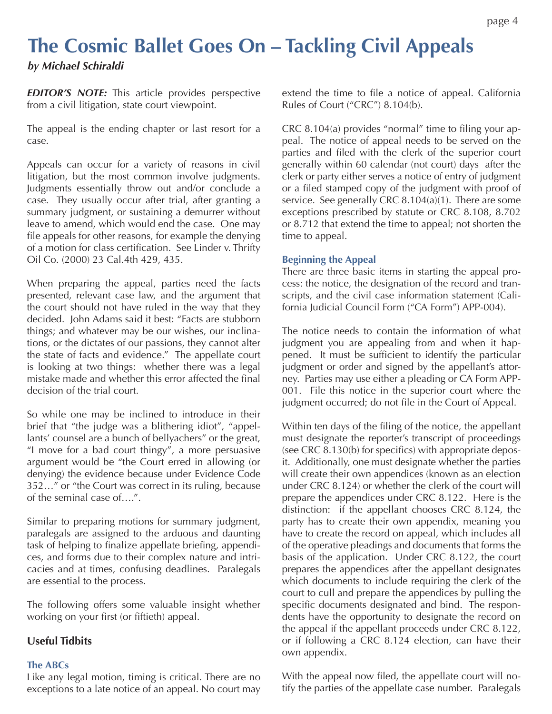### **The Cosmic Ballet Goes On – Tackling Civil Appeals**  *by Michael Schiraldi*

**EDITOR'S NOTE:** This article provides perspective from a civil litigation, state court viewpoint.

The appeal is the ending chapter or last resort for a case.

Appeals can occur for a variety of reasons in civil litigation, but the most common involve judgments. Judgments essentially throw out and/or conclude a case. They usually occur after trial, after granting a summary judgment, or sustaining a demurrer without leave to amend, which would end the case. One may file appeals for other reasons, for example the denying of a motion for class certification. See Linder v. Thrifty Oil Co. (2000) 23 Cal.4th 429, 435.

When preparing the appeal, parties need the facts presented, relevant case law, and the argument that the court should not have ruled in the way that they decided. John Adams said it best: "Facts are stubborn things; and whatever may be our wishes, our inclinations, or the dictates of our passions, they cannot alter the state of facts and evidence." The appellate court is looking at two things: whether there was a legal mistake made and whether this error affected the final decision of the trial court.

So while one may be inclined to introduce in their brief that "the judge was a blithering idiot", "appellants' counsel are a bunch of bellyachers" or the great, "I move for a bad court thingy", a more persuasive argument would be "the Court erred in allowing (or denying) the evidence because under Evidence Code 352…" or "the Court was correct in its ruling, because of the seminal case of….".

Similar to preparing motions for summary judgment, paralegals are assigned to the arduous and daunting task of helping to finalize appellate briefing, appendices, and forms due to their complex nature and intricacies and at times, confusing deadlines. Paralegals are essential to the process.

The following offers some valuable insight whether working on your first (or fiftieth) appeal.

#### **Useful Tidbits**

#### **The ABCs**

Like any legal motion, timing is critical. There are no exceptions to a late notice of an appeal. No court may extend the time to file a notice of appeal. California Rules of Court ("CRC") 8.104(b).

CRC 8.104(a) provides "normal" time to filing your appeal. The notice of appeal needs to be served on the parties and filed with the clerk of the superior court generally within 60 calendar (not court) days after the clerk or party either serves a notice of entry of judgment or a filed stamped copy of the judgment with proof of service. See generally CRC 8.104(a)(1). There are some exceptions prescribed by statute or CRC 8.108, 8.702 or 8.712 that extend the time to appeal; not shorten the time to appeal.

#### **Beginning the Appeal**

There are three basic items in starting the appeal process: the notice, the designation of the record and transcripts, and the civil case information statement (California Judicial Council Form ("CA Form") APP-004).

The notice needs to contain the information of what judgment you are appealing from and when it happened. It must be sufficient to identify the particular judgment or order and signed by the appellant's attorney. Parties may use either a pleading or CA Form APP-001. File this notice in the superior court where the judgment occurred; do not file in the Court of Appeal.

Within ten days of the filing of the notice, the appellant must designate the reporter's transcript of proceedings (see CRC 8.130(b) for specifics) with appropriate deposit. Additionally, one must designate whether the parties will create their own appendices (known as an election under CRC 8.124) or whether the clerk of the court will prepare the appendices under CRC 8.122. Here is the distinction: if the appellant chooses CRC 8.124, the party has to create their own appendix, meaning you have to create the record on appeal, which includes all of the operative pleadings and documents that forms the basis of the application. Under CRC 8.122, the court prepares the appendices after the appellant designates which documents to include requiring the clerk of the court to cull and prepare the appendices by pulling the specific documents designated and bind. The respondents have the opportunity to designate the record on the appeal if the appellant proceeds under CRC 8.122, or if following a CRC 8.124 election, can have their own appendix.

With the appeal now filed, the appellate court will notify the parties of the appellate case number. Paralegals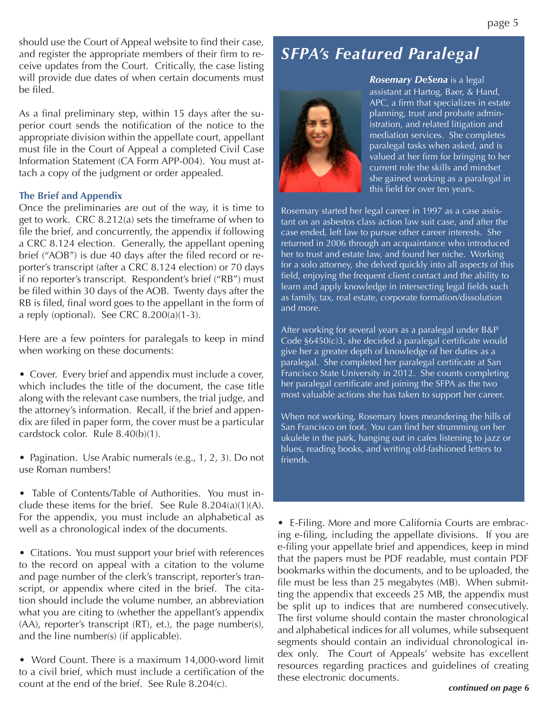should use the Court of Appeal website to find their case, and register the appropriate members of their firm to receive updates from the Court. Critically, the case listing will provide due dates of when certain documents must be filed.

As a final preliminary step, within 15 days after the superior court sends the notification of the notice to the appropriate division within the appellate court, appellant must file in the Court of Appeal a completed Civil Case Information Statement (CA Form APP-004). You must attach a copy of the judgment or order appealed.

#### **The Brief and Appendix**

Once the preliminaries are out of the way, it is time to get to work. CRC 8.212(a) sets the timeframe of when to file the brief, and concurrently, the appendix if following a CRC 8.124 election. Generally, the appellant opening brief ("AOB") is due 40 days after the filed record or reporter's transcript (after a CRC 8.124 election) or 70 days if no reporter's transcript. Respondent's brief ("RB") must be filed within 30 days of the AOB. Twenty days after the RB is filed, final word goes to the appellant in the form of a reply (optional). See CRC 8.200(a)(1-3).

Here are a few pointers for paralegals to keep in mind when working on these documents:

• Cover. Every brief and appendix must include a cover, which includes the title of the document, the case title along with the relevant case numbers, the trial judge, and the attorney's information. Recall, if the brief and appendix are filed in paper form, the cover must be a particular cardstock color. Rule 8.40(b)(1).

• Pagination. Use Arabic numerals (e.g., 1, 2, 3). Do not use Roman numbers!

• Table of Contents/Table of Authorities. You must include these items for the brief. See Rule 8.204(a)(1)(A). For the appendix, you must include an alphabetical as well as a chronological index of the documents.

• Citations. You must support your brief with references to the record on appeal with a citation to the volume and page number of the clerk's transcript, reporter's transcript, or appendix where cited in the brief. The citation should include the volume number, an abbreviation what you are citing to (whether the appellant's appendix (AA), reporter's transcript (RT), et.), the page number(s), and the line number(s) (if applicable).

• Word Count. There is a maximum 14,000-word limit to a civil brief, which must include a certification of the count at the end of the brief. See Rule 8.204(c).

## *SFPA's Featured Paralegal*



*Rosemary DeSena* is a legal assistant at Hartog, Baer, & Hand, APC, a firm that specializes in estate planning, trust and probate administration, and related litigation and mediation services. She completes paralegal tasks when asked, and is .<br>valued at her firm for bringing to her current role the skills and mindset she gained working as a paralegal in this field for over ten years.

Rosemary started her legal career in 1997 as a case assistant on an asbestos class action law suit case, and after the case ended, left law to pursue other career interests. She returned in 2006 through an acquaintance who introduced her to trust and estate law, and found her niche. Working for a solo attorney, she delved quickly into all aspects of this field, enjoying the frequent client contact and the ability to learn and apply knowledge in intersecting legal fields such as family, tax, real estate, corporate formation/dissolution and more.

After working for several years as a paralegal under B&P Code §6450(c)3, she decided a paralegal certificate would give her a greater depth of knowledge of her duties as a paralegal. She completed her paralegal certificate at San Francisco State University in 2012. She counts completing her paralegal certificate and joining the SFPA as the two most valuable actions she has taken to support her career.

When not working, Rosemary loves meandering the hills of San Francisco on foot. You can find her strumming on her ukulele in the park, hanging out in cafes listening to jazz or blues, reading books, and writing old-fashioned letters to friends.

• E-Filing. More and more California Courts are embracing e-filing, including the appellate divisions. If you are e-filing your appellate brief and appendices, keep in mind that the papers must be PDF readable, must contain PDF bookmarks within the documents, and to be uploaded, the file must be less than 25 megabytes (MB). When submitting the appendix that exceeds 25 MB, the appendix must be split up to indices that are numbered consecutively. The first volume should contain the master chronological and alphabetical indices for all volumes, while subsequent segments should contain an individual chronological index only. The Court of Appeals' website has excellent resources regarding practices and guidelines of creating these electronic documents.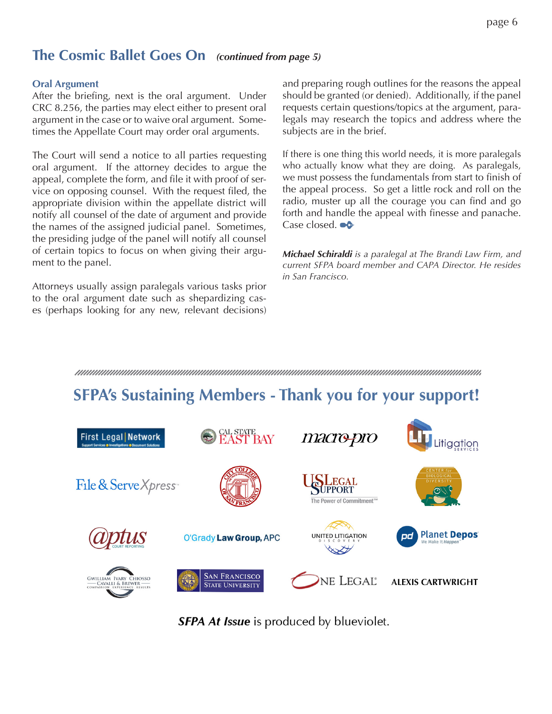### **The Cosmic Ballet Goes On** *(continued from page 5)*

#### **Oral Argument**

After the briefing, next is the oral argument. Under CRC 8.256, the parties may elect either to present oral argument in the case or to waive oral argument. Sometimes the Appellate Court may order oral arguments.

The Court will send a notice to all parties requesting oral argument. If the attorney decides to argue the appeal, complete the form, and file it with proof of service on opposing counsel. With the request filed, the appropriate division within the appellate district will notify all counsel of the date of argument and provide the names of the assigned judicial panel. Sometimes, the presiding judge of the panel will notify all counsel of certain topics to focus on when giving their argument to the panel.

Attorneys usually assign paralegals various tasks prior to the oral argument date such as shepardizing cases (perhaps looking for any new, relevant decisions)

and preparing rough outlines for the reasons the appeal should be granted (or denied). Additionally, if the panel requests certain questions/topics at the argument, paralegals may research the topics and address where the subjects are in the brief.

If there is one thing this world needs, it is more paralegals who actually know what they are doing. As paralegals, we must possess the fundamentals from start to finish of the appeal process. So get a little rock and roll on the radio, muster up all the courage you can find and go forth and handle the appeal with finesse and panache. Case closed.  $\bullet \bullet$ 

*Michael Schiraldi is a paralegal at The Brandi Law Firm, and current SFPA board member and CAPA Director. He resides in San Francisco.*

#### 

# **SFPA's Sustaining Members - Thank you for your support!**



**SFPA At Issue** is produced by blueviolet.